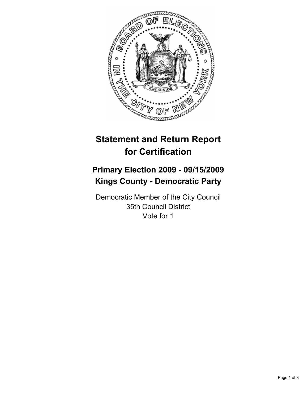

# **Statement and Return Report for Certification**

# **Primary Election 2009 - 09/15/2009 Kings County - Democratic Party**

Democratic Member of the City Council 35th Council District Vote for 1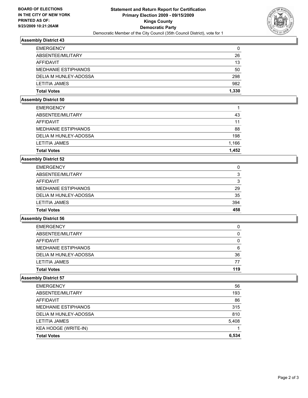

# **Assembly District 43**

| <b>EMERGENCY</b>           | 0     |
|----------------------------|-------|
| ABSENTEE/MILITARY          | 26    |
| AFFIDAVIT                  | 13    |
| <b>MEDHANIE ESTIPHANOS</b> | 50    |
| DELIA M HUNLEY-ADOSSA      | 298   |
| LETITIA JAMES              | 982   |
| <b>Total Votes</b>         | 1.330 |

### **Assembly District 50**

| <b>EMERGENCY</b>           |       |
|----------------------------|-------|
| ABSENTEE/MILITARY          | 43    |
| AFFIDAVIT                  | 11    |
| <b>MEDHANIE ESTIPHANOS</b> | 88    |
| DELIA M HUNLEY-ADOSSA      | 198   |
| LETITIA JAMES              | 1.166 |
| <b>Total Votes</b>         | 1.452 |

#### **Assembly District 52**

| <b>Total Votes</b>         | 458 |
|----------------------------|-----|
| LETITIA JAMES              | 394 |
| DELIA M HUNLEY-ADOSSA      | 35  |
| <b>MEDHANIE ESTIPHANOS</b> | 29  |
| AFFIDAVIT                  | 3   |
| ABSENTEE/MILITARY          | 3   |
| <b>EMERGENCY</b>           | 0   |

# **Assembly District 56**

| <b>EMERGENCY</b>           | 0   |
|----------------------------|-----|
| ABSENTEE/MILITARY          | 0   |
| AFFIDAVIT                  | 0   |
| <b>MEDHANIE ESTIPHANOS</b> | 6   |
| DELIA M HUNLEY-ADOSSA      | 36  |
| <b>LETITIA JAMES</b>       | 77  |
| <b>Total Votes</b>         | 119 |

### **Assembly District 57**

| LETITIA JAMES<br>KEA HODGE (WRITE-IN) | 5,408 |
|---------------------------------------|-------|
| DELIA M HUNLEY-ADOSSA                 | 810   |
| <b>MEDHANIE ESTIPHANOS</b>            | 315   |
| AFFIDAVIT                             | 86    |
| ABSENTEE/MILITARY                     | 193   |
| <b>EMERGENCY</b>                      | 56    |